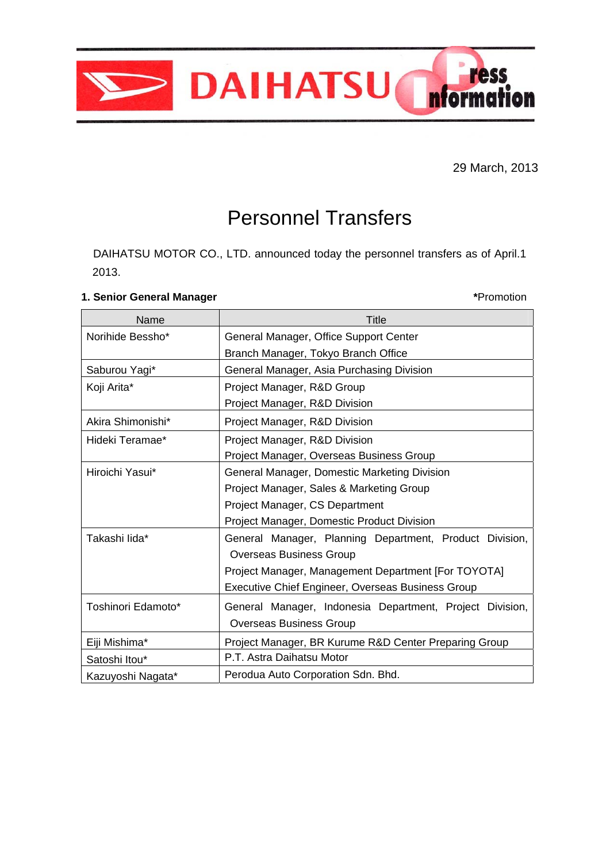

29 March, 2013

## Personnel Transfers

DAIHATSU MOTOR CO., LTD. announced today the personnel transfers as of April.1 2013.

## **1. Senior General Manager \***Promotion

| Name               | <b>Title</b>                                             |
|--------------------|----------------------------------------------------------|
| Norihide Bessho*   | General Manager, Office Support Center                   |
|                    | Branch Manager, Tokyo Branch Office                      |
| Saburou Yagi*      | General Manager, Asia Purchasing Division                |
| Koji Arita*        | Project Manager, R&D Group                               |
|                    | Project Manager, R&D Division                            |
| Akira Shimonishi*  | Project Manager, R&D Division                            |
| Hideki Teramae*    | Project Manager, R&D Division                            |
|                    | Project Manager, Overseas Business Group                 |
| Hiroichi Yasui*    | General Manager, Domestic Marketing Division             |
|                    | Project Manager, Sales & Marketing Group                 |
|                    | Project Manager, CS Department                           |
|                    | Project Manager, Domestic Product Division               |
| Takashi lida*      | General Manager, Planning Department, Product Division,  |
|                    | <b>Overseas Business Group</b>                           |
|                    | Project Manager, Management Department [For TOYOTA]      |
|                    | Executive Chief Engineer, Overseas Business Group        |
| Toshinori Edamoto* | General Manager, Indonesia Department, Project Division, |
|                    | <b>Overseas Business Group</b>                           |
| Eiji Mishima*      | Project Manager, BR Kurume R&D Center Preparing Group    |
| Satoshi Itou*      | P.T. Astra Daihatsu Motor                                |
| Kazuyoshi Nagata*  | Perodua Auto Corporation Sdn. Bhd.                       |